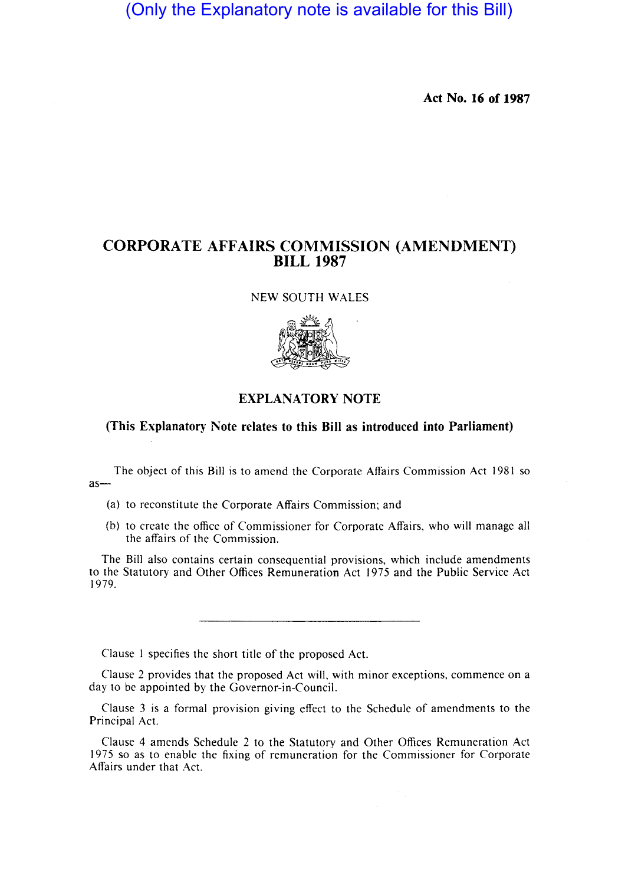(Only the Explanatory note is available for this Bill)

**Act No. 16 of 1987** 

## **CORPORATE AFFAIRS COMMISSION (AMENDMENT) BILL 1987**

NEW SOUTH WALES



## **EXPLANATORY NOTE**

## **(This Explanatory Note relates to this Bill as introduced into Parliament)**

The object of this Bill is to amend the Corporate Affairs Commission Act 1981 so  $as-$ 

- (a) to reconstitute the Corporate Affairs Commission; and
- (b) to create the office of Commissioner for Corporate Affairs, who will manage all the affairs of the Commission.

The Bill also contains certain consequential provisions, which include amendments to the Statutory and Other Offices Remuneration Act 1975 and the Public Service Act 1979.

Clause I specifies the short title of the proposed Act.

Clause 2 provides that the proposed Act will, with minor exceptions, commence on a day to be appointed by the Governor-in-Council.

Clause 3 is a formal provision giving effect to the Schedule of amendments to the Principal Act.

Clause 4 amends Schedule 2 to the Statutory and Other Offices Remuneration Act 1975 so as to enable the fixing of remuneration for the Commissioner for Corporate Affairs under that Act.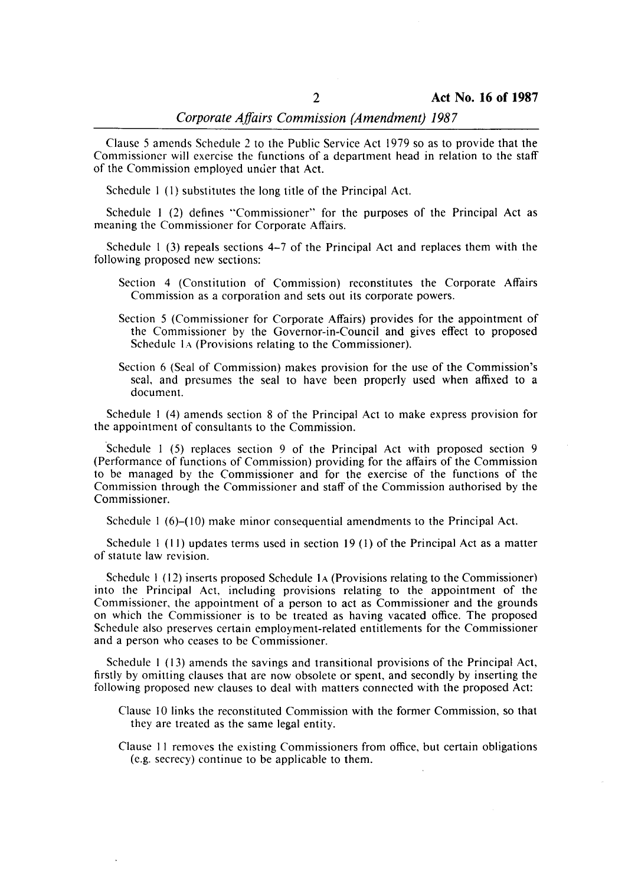Clause 5 amends Schedule 2 to the Public Service Act 1979 so as to provide that the Commissioner will exercise the functions of a department head in relation to the staff of the Commission employed unuer that Act.

Schedule I (I) substitutes the long title of the Principal Act.

Schedule 1 (2) defines "Commissioner" for the purposes of the Principal Act as meaning the Commissioner for Corporate Affairs.

Schedule  $\left( \frac{1}{3} \right)$  repeals sections 4-7 of the Principal Act and replaces them with the following proposed new sections:

- Section 4 (Constitution of Commission) reconstitutes the Corporate Affairs Commission as a corporation and sets out its corporate powers.
- Section 5 (Commissioner for Corporate Affairs) provides for the appointment of the Commissioner by the Governor-in-Council and gives effect to proposed Schedule 1A (Provisions relating to the Commissioner).
- Section 6 (Seal of Commission) makes provision for the use of the Commission's seal. and presumes the seal to have been properly used when affixed to a document.

Schedule I (4) amends section 8 of the Principal Act to make express provision for the appointment of consultants to the Commission.

Schedule 1 (5) replaces section 9 of the Principal Act with proposed section 9 (Performance of functions of Commission) providing for the affairs of the Commission to be managed by the Commissioner and for the exercise of the functions of the Commission through the Commissioner and staff of the Commission authorised by the Commissioner.

Schedule  $1(6)-(10)$  make minor consequential amendments to the Principal Act.

Schedule 1 (11) updates terms used in section 19 (1) of the Principal Act as a matter of statute law revision.

Schedule 1 (12) inserts proposed Schedule 1A (Provisions relating to the Commissioner) into the Principal Act. including provisions relating to the appointment of the Commissioner. the appointment of a person to act as Commissioner and the grounds on which the Commissioner is to be treated as having vacated office. The proposed Schedule also preserves certain employment-related entitlements for the Commissioner and a person who ceases to be Commissioner.

Schedule I (13) amends the savings and transitional provisions of the Principal Act. firstly by omitting clauses that are now obsolete or spent, and secondly by inserting the following proposed new clauses to deal with matters connected with the proposed Act:

Clause 10 links the reconstituted Commission with the former Commission, so that they are treated as the same legal entity.

Clause 11 removes the existing Commissioners from office, but certain obligations (e.g. secrecy) continue to be applicable to them.